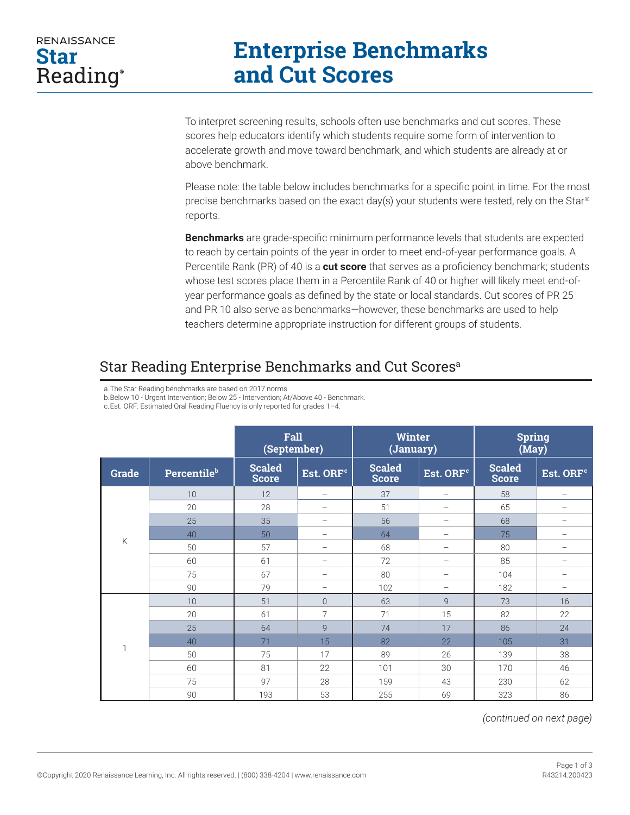## **RENAISSANCE Star** Reading®

## **Enterprise Benchmarks and Cut Scores**

To interpret screening results, schools often use benchmarks and cut scores. These scores help educators identify which students require some form of intervention to accelerate growth and move toward benchmark, and which students are already at or above benchmark.

Please note: the table below includes benchmarks for a specific point in time. For the most precise benchmarks based on the exact day(s) your students were tested, rely on the Star® reports.

**Benchmarks** are grade-specific minimum performance levels that students are expected to reach by certain points of the year in order to meet end-of-year performance goals. A Percentile Rank (PR) of 40 is a **cut score** that serves as a proficiency benchmark; students whose test scores place them in a Percentile Rank of 40 or higher will likely meet end-ofyear performance goals as defined by the state or local standards. Cut scores of PR 25 and PR 10 also serve as benchmarks—however, these benchmarks are used to help teachers determine appropriate instruction for different groups of students.

## Star Reading Enterprise Benchmarks and Cut Scores<sup>a</sup>

a.The Star Reading benchmarks are based on 2017 norms.

b.Below 10 - Urgent Intervention; Below 25 - Intervention; At/Above 40 - Benchmark.

c.Est. ORF: Estimated Oral Reading Fluency is only reported for grades 1–4.

|       |                         | Fall<br>(September)           |                          | <b>Winter</b><br>(January)    |                          | <b>Spring</b><br>(May)        |                          |
|-------|-------------------------|-------------------------------|--------------------------|-------------------------------|--------------------------|-------------------------------|--------------------------|
| Grade | Percentile <sup>b</sup> | <b>Scaled</b><br><b>Score</b> | Est. ORF <sup>c</sup>    | <b>Scaled</b><br><b>Score</b> | Est. ORF <sup>c</sup>    | <b>Scaled</b><br><b>Score</b> | Est. ORF <sup>c</sup>    |
| К     | 10 <sup>°</sup>         | 12                            | $\overline{\phantom{0}}$ | 37                            |                          | 58                            | $\overline{\phantom{0}}$ |
|       | 20                      | 28                            | $\overline{\phantom{0}}$ | 51                            | $\overline{\phantom{0}}$ | 65                            | -                        |
|       | 25                      | 35                            | -                        | 56                            | $\overline{\phantom{m}}$ | 68                            | -                        |
|       | 40                      | 50                            | $\overline{\phantom{0}}$ | 64                            | $\overline{\phantom{0}}$ | 75                            | -                        |
|       | 50                      | 57                            | $\overline{\phantom{0}}$ | 68                            |                          | 80                            | $\overline{\phantom{0}}$ |
|       | 60                      | 61                            |                          | 72                            | -                        | 85                            |                          |
|       | 75                      | 67                            | -                        | 80                            | $\overline{\phantom{0}}$ | 104                           | $\overline{\phantom{0}}$ |
|       | 90                      | 79                            | -                        | 102                           | $\overline{\phantom{0}}$ | 182                           | -                        |
| h     | 10                      | 51                            | $\overline{0}$           | 63                            | 9                        | 73                            | 16                       |
|       | 20                      | 61                            | 7                        | 71                            | 15                       | 82                            | 22                       |
|       | 25                      | 64                            | 9                        | 74                            | 17                       | 86                            | 24                       |
|       | 40                      | 71                            | 15                       | 82                            | 22                       | 105                           | 31                       |
|       | 50                      | 75                            | 17                       | 89                            | 26                       | 139                           | 38                       |
|       | 60                      | 81                            | 22                       | 101                           | 30                       | 170                           | 46                       |
|       | 75                      | 97                            | 28                       | 159                           | 43                       | 230                           | 62                       |
|       | 90                      | 193                           | 53                       | 255                           | 69                       | 323                           | 86                       |

*(continued on next page)*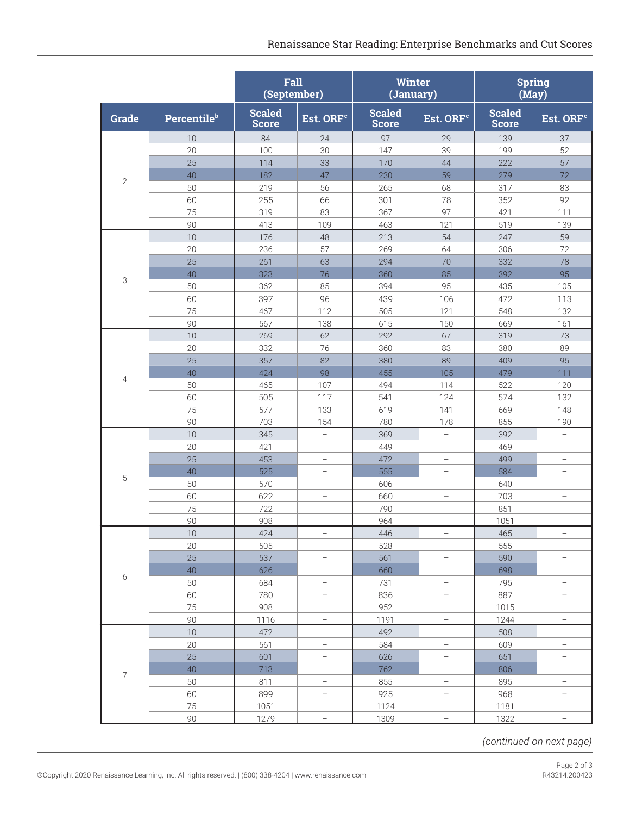|                |                         | Fall<br>(September)           |                          | Winter<br>(January)           |                          | <b>Spring</b><br>(May)        |                          |
|----------------|-------------------------|-------------------------------|--------------------------|-------------------------------|--------------------------|-------------------------------|--------------------------|
| <b>Grade</b>   | Percentile <sup>b</sup> | <b>Scaled</b><br><b>Score</b> | Est. ORF <sup>c</sup>    | <b>Scaled</b><br><b>Score</b> | Est. ORF <sup>c</sup>    | <b>Scaled</b><br><b>Score</b> | Est. ORF <sup>c</sup>    |
|                | 10                      | 84                            | 24                       | 97                            | 29                       | 139                           | 37                       |
|                | 20                      | 100                           | 30                       | 147                           | 39                       | 199                           | 52                       |
| $\overline{2}$ | 25                      | 114                           | 33                       | 170                           | 44                       | 222                           | 57                       |
|                | 40                      | 182                           | 47                       | 230                           | 59                       | 279                           | 72                       |
|                | 50                      | 219                           | 56                       | 265                           | 68                       | 317                           | 83                       |
|                | 60                      | 255                           | 66                       | 301                           | 78                       | 352                           | 92                       |
|                | 75                      | 319                           | 83                       | 367                           | 97                       | 421                           | 111                      |
|                | 90                      | 413                           | 109                      | 463                           | 121                      | 519                           | 139                      |
|                | 10                      | 176                           | 48                       | 213                           | 54                       | 247                           | 59                       |
|                | 20                      | 236                           | 57                       | 269                           | 64                       | 306                           | 72                       |
|                | 25                      | 261                           | 63                       | 294                           | 70                       | 332                           | 78                       |
|                | 40                      | 323                           | 76                       | 360                           | 85                       | 392                           | 95                       |
| 3              | 50                      | 362                           | 85                       | 394                           | 95                       | 435                           | 105                      |
|                | 60                      | 397                           | 96                       | 439                           | 106                      | 472                           | 113                      |
|                | 75                      | 467                           | 112                      | 505                           | 121                      | 548                           | 132                      |
|                | 90                      | 567                           | 138                      | 615                           | 150                      | 669                           | 161                      |
|                | 10                      | 269                           | 62                       | 292                           | 67                       | 319                           | 73                       |
|                | 20                      | 332                           | 76                       | 360                           | 83                       | 380                           | 89                       |
|                | 25                      | 357                           | 82                       | 380                           | 89                       | 409                           | 95                       |
|                | 40                      | 424                           | 98                       | 455                           | 105                      | 479                           | 111                      |
| 4              | 50                      | 465                           | 107                      | 494                           | 114                      | 522                           | 120                      |
|                | 60                      | 505                           | 117                      | 541                           | 124                      | 574                           | 132                      |
|                | 75                      | 577                           | 133                      | 619                           | 141                      | 669                           | 148                      |
|                | 90                      | 703                           | 154                      | 780                           | 178                      | 855                           | 190                      |
|                | 10                      | 345                           | $\overline{\phantom{0}}$ | 369                           | $\overline{\phantom{0}}$ | 392                           | $\overline{\phantom{0}}$ |
|                | 20                      | 421                           | $\overline{\phantom{0}}$ | 449                           | $\overline{\phantom{0}}$ | 469                           | $\overline{\phantom{0}}$ |
|                | 25                      | 453                           |                          | 472                           | $\overline{\phantom{0}}$ | 499                           | $\overline{\phantom{0}}$ |
|                | 40                      | 525                           | $\overline{\phantom{0}}$ | 555                           |                          | 584                           | $\overline{\phantom{0}}$ |
| 5              | 50                      | 570                           |                          | 606                           |                          | 640                           | $\overline{\phantom{0}}$ |
|                | 60                      | 622                           | $\overline{\phantom{0}}$ | 660                           | $\overline{\phantom{0}}$ | 703                           | $\overline{\phantom{0}}$ |
|                | 75                      | 722                           |                          | 790                           | $\overline{\phantom{0}}$ | 851                           | $\overline{\phantom{0}}$ |
|                | 90                      | 908                           |                          | 964                           | $\overline{\phantom{0}}$ | 1051                          | $\overline{\phantom{0}}$ |
|                | 10                      | 424                           | $\overline{\phantom{0}}$ | 446                           | $\qquad \qquad -$        | 465                           | $\overline{\phantom{0}}$ |
|                | 20                      | 505                           | $\overline{\phantom{0}}$ | 528                           | $\qquad \qquad -$        | 555                           | $\overline{\phantom{0}}$ |
|                | 25                      | 537                           | $\overline{\phantom{0}}$ | 561                           | $\qquad \qquad -$        | 590                           | $\overline{\phantom{0}}$ |
|                | 40                      | 626                           | $\overline{\phantom{0}}$ | 660                           | $\qquad \qquad -$        | 698                           | $\overline{\phantom{0}}$ |
| 6              | 50                      | 684                           | $\qquad \qquad -$        | 731                           | $\qquad \qquad -$        | 795                           | $\overline{\phantom{0}}$ |
|                | 60                      | 780                           | $\overline{\phantom{0}}$ | 836                           | $\overline{\phantom{0}}$ | 887                           | $\overline{\phantom{0}}$ |
|                | 75                      | 908                           | $\qquad \qquad -$        | 952                           | $\qquad \qquad -$        | 1015                          | $\overline{\phantom{0}}$ |
|                | 90                      | 1116                          | $\overline{\phantom{0}}$ | 1191                          | $\qquad \qquad -$        | 1244                          | $\overline{\phantom{0}}$ |
|                | 10                      | 472                           | $\overline{\phantom{0}}$ | 492                           | $\overline{\phantom{0}}$ | 508                           | $\overline{\phantom{0}}$ |
|                | 20                      | 561                           | $\qquad \qquad -$        | 584                           | $\qquad \qquad -$        | 609                           | $\overline{\phantom{0}}$ |
| $\overline{7}$ | 25                      | 601                           | $\qquad \qquad -$        | 626                           | $\qquad \qquad -$        | 651                           | $\overline{\phantom{0}}$ |
|                | 40                      | 713                           | $\qquad \qquad -$        | 762                           | $\qquad \qquad -$        | 806                           | $\overline{\phantom{0}}$ |
|                |                         |                               | $\qquad \qquad -$        |                               | $\qquad \qquad -$        |                               | $\overline{\phantom{0}}$ |
|                | 50<br>60                | 811                           | $\overline{\phantom{0}}$ | 855<br>925                    | $\qquad \qquad -$        | 895<br>968                    | $\overline{\phantom{0}}$ |
|                | 75                      | 899                           | $\qquad \qquad -$        |                               | $\overline{\phantom{a}}$ |                               | $\overline{\phantom{0}}$ |
|                |                         | 1051                          | $\qquad \qquad -$        | 1124                          | $\qquad \qquad -$        | 1181                          | $\overline{\phantom{0}}$ |
|                | 90                      | 1279                          |                          | 1309                          |                          | 1322                          |                          |

*(continued on next page)*